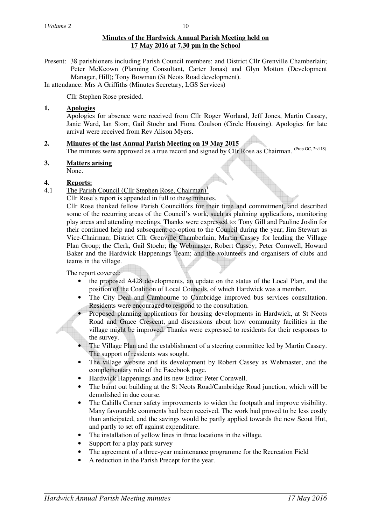## **Minutes of the Hardwick Annual Parish Meeting held on 17 May 2016 at 7.30 pm in the School**

Present: 38 parishioners including Parish Council members; and District Cllr Grenville Chamberlain; Peter McKeown (Planning Consultant, Carter Jonas) and Glyn Motton (Development Manager, Hill); Tony Bowman (St Neots Road development).

In attendance: Mrs A Griffiths (Minutes Secretary, LGS Services)

Cllr Stephen Rose presided.

### **1. Apologies**

Apologies for absence were received from Cllr Roger Worland, Jeff Jones, Martin Cassey, Janie Ward, Ian Storr, Gail Stoehr and Fiona Coulson (Circle Housing). Apologies for late arrival were received from Rev Alison Myers.

# **2. Minutes of the last Annual Parish Meeting on 19 May 2015**

The minutes were approved as a true record and signed by Cllr Rose as Chairman. (Prop GC, 2nd JS)

- **3. Matters arising**
	- None.

#### **4. Reports:**

4.1 The Parish Council (Cllr Stephen Rose, Chairman)<sup>1</sup>

Cllr Rose's report is appended in full to these minutes.

Cllr Rose thanked fellow Parish Councillors for their time and commitment, and described some of the recurring areas of the Council's work, such as planning applications, monitoring play areas and attending meetings. Thanks were expressed to: Tony Gill and Pauline Joslin for their continued help and subsequent co-option to the Council during the year; Jim Stewart as Vice-Chairman; District Cllr Grenville Chamberlain; Martin Cassey for leading the Village Plan Group; the Clerk, Gail Stoehr; the Webmaster, Robert Cassey; Peter Cornwell, Howard Baker and the Hardwick Happenings Team; and the volunteers and organisers of clubs and teams in the village.

The report covered:

- the proposed A428 developments, an update on the status of the Local Plan, and the position of the Coalition of Local Councils, of which Hardwick was a member.
- The City Deal and Cambourne to Cambridge improved bus services consultation. Residents were encouraged to respond to the consultation.
- Proposed planning applications for housing developments in Hardwick, at St Neots Road and Grace Crescent, and discussions about how community facilities in the village might be improved. Thanks were expressed to residents for their responses to the survey.
- The Village Plan and the establishment of a steering committee led by Martin Cassey. The support of residents was sought.
- The village website and its development by Robert Cassey as Webmaster, and the complementary role of the Facebook page.
- Hardwick Happenings and its new Editor Peter Cornwell.
- The burnt out building at the St Neots Road/Cambridge Road junction, which will be demolished in due course.
- The Cahills Corner safety improvements to widen the footpath and improve visibility. Many favourable comments had been received. The work had proved to be less costly than anticipated, and the savings would be partly applied towards the new Scout Hut, and partly to set off against expenditure.
- The installation of vellow lines in three locations in the village.
- Support for a play park survey
- The agreement of a three-year maintenance programme for the Recreation Field
- A reduction in the Parish Precept for the year.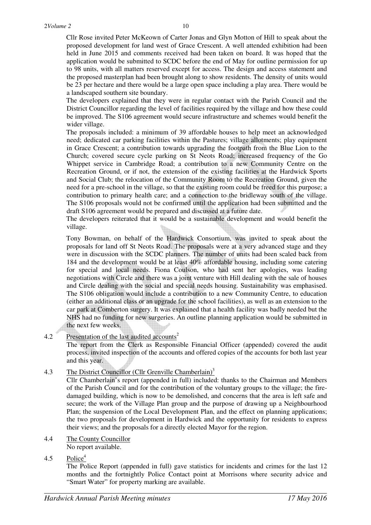Cllr Rose invited Peter McKeown of Carter Jonas and Glyn Motton of Hill to speak about the proposed development for land west of Grace Crescent. A well attended exhibition had been held in June 2015 and comments received had been taken on board. It was hoped that the application would be submitted to SCDC before the end of May for outline permission for up to 98 units, with all matters reserved except for access. The design and access statement and the proposed masterplan had been brought along to show residents. The density of units would be 23 per hectare and there would be a large open space including a play area. There would be a landscaped southern site boundary.

10

The developers explained that they were in regular contact with the Parish Council and the District Councillor regarding the level of facilities required by the village and how these could be improved. The S106 agreement would secure infrastructure and schemes would benefit the wider village.

The proposals included: a minimum of 39 affordable houses to help meet an acknowledged need; dedicated car parking facilities within the Pastures; village allotments; play equipment in Grace Crescent; a contribution towards upgrading the footpath from the Blue Lion to the Church; covered secure cycle parking on St Neots Road; increased frequency of the Go Whippet service in Cambridge Road; a contribution to a new Community Centre on the Recreation Ground, or if not, the extension of the existing facilities at the Hardwick Sports and Social Club; the relocation of the Community Room to the Recreation Ground, given the need for a pre-school in the village, so that the existing room could be freed for this purpose; a contribution to primary health care; and a connection to the bridleway south of the village. The S106 proposals would not be confirmed until the application had been submitted and the draft S106 agreement would be prepared and discussed at a future date.

The developers reiterated that it would be a sustainable development and would benefit the village.

Tony Bowman, on behalf of the Hardwick Consortium, was invited to speak about the proposals for land off St Neots Road. The proposals were at a very advanced stage and they were in discussion with the SCDC planners. The number of units had been scaled back from 184 and the development would be at least 40% affordable housing, including some catering for special and local needs. Fiona Coulson, who had sent her apologies, was leading negotiations with Circle and there was a joint venture with Hill dealing with the sale of houses and Circle dealing with the social and special needs housing. Sustainability was emphasised. The S106 obligation would include a contribution to a new Community Centre, to education (either an additional class or an upgrade for the school facilities), as well as an extension to the car park at Comberton surgery. It was explained that a health facility was badly needed but the NHS had no funding for new surgeries. An outline planning application would be submitted in the next few weeks.

## 4.2 Presentation of the last audited accounts<sup>2</sup>

The report from the Clerk as Responsible Financial Officer (appended) covered the audit process, invited inspection of the accounts and offered copies of the accounts for both last year and this year.

## 4.3 The District Councillor (Cllr Grenville Chamberlain)<sup>3</sup>

 Cllr Chamberlain's report (appended in full) included: thanks to the Chairman and Members of the Parish Council and for the contribution of the voluntary groups to the village; the firedamaged building, which is now to be demolished, and concerns that the area is left safe and secure; the work of the Village Plan group and the purpose of drawing up a Neighbourhood Plan; the suspension of the Local Development Plan, and the effect on planning applications; the two proposals for development in Hardwick and the opportunity for residents to express their views; and the proposals for a directly elected Mayor for the region.

- 4.4 The County Councillor
	- No report available.
- 4.5 Police<sup>4</sup>

 The Police Report (appended in full) gave statistics for incidents and crimes for the last 12 months and the fortnightly Police Contact point at Morrisons where security advice and "Smart Water" for property marking are available.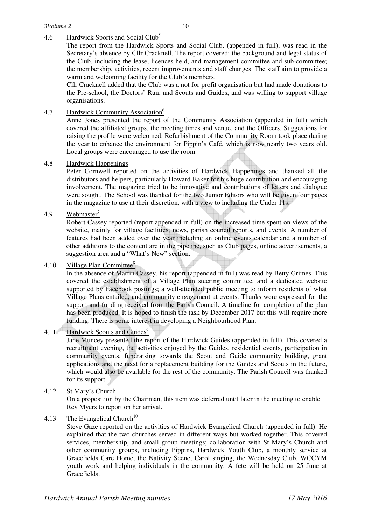## 4.6 Hardwick Sports and Social Club<sup>5</sup>

 The report from the Hardwick Sports and Social Club, (appended in full), was read in the Secretary's absence by Cllr Cracknell. The report covered: the background and legal status of the Club, including the lease, licences held, and management committee and sub-committee; the membership, activities, recent improvements and staff changes. The staff aim to provide a warm and welcoming facility for the Club's members.

 Cllr Cracknell added that the Club was a not for profit organisation but had made donations to the Pre-school, the Doctors' Run, and Scouts and Guides, and was willing to support village organisations.

## 4.7 Hardwick Community Association<sup>6</sup>

 Anne Jones presented the report of the Community Association (appended in full) which covered the affiliated groups, the meeting times and venue, and the Officers. Suggestions for raising the profile were welcomed. Refurbishment of the Community Room took place during the year to enhance the environment for Pippin's Café, which is now nearly two years old. Local groups were encouraged to use the room.

## 4.8 Hardwick Happenings

 Peter Cornwell reported on the activities of Hardwick Happenings and thanked all the distributors and helpers, particularly Howard Baker for his huge contribution and encouraging involvement. The magazine tried to be innovative and contributions of letters and dialogue were sought. The School was thanked for the two Junior Editors who will be given four pages in the magazine to use at their discretion, with a view to including the Under 11s.

#### 4.9 Webmaster<sup>7</sup>

Robert Cassey reported (report appended in full) on the increased time spent on views of the website, mainly for village facilities, news, parish council reports, and events. A number of features had been added over the year including an online events calendar and a number of other additions to the content are in the pipeline, such as Club pages, online advertisements, a suggestion area and a "What's New" section.

#### 4.10 Village Plan Committee<sup>8</sup>

In the absence of Martin Cassey, his report (appended in full) was read by Betty Grimes. This covered the establishment of a Village Plan steering committee, and a dedicated website supported by Facebook postings; a well-attended public meeting to inform residents of what Village Plans entailed, and community engagement at events. Thanks were expressed for the support and funding received from the Parish Council. A timeline for completion of the plan has been produced. It is hoped to finish the task by December 2017 but this will require more funding. There is some interest in developing a Neighbourhood Plan.

## 4.11 Hardwick Scouts and Guides<sup>9</sup>

Jane Muncey presented the report of the Hardwick Guides (appended in full). This covered a recruitment evening, the activities enjoyed by the Guides, residential events, participation in community events, fundraising towards the Scout and Guide community building, grant applications and the need for a replacement building for the Guides and Scouts in the future, which would also be available for the rest of the community. The Parish Council was thanked for its support.

4.12 St Mary's Church

On a proposition by the Chairman, this item was deferred until later in the meeting to enable Rev Myers to report on her arrival.

4.13 The Evangelical Church<sup>10</sup>

Steve Gaze reported on the activities of Hardwick Evangelical Church (appended in full). He explained that the two churches served in different ways but worked together. This covered services, membership, and small group meetings; collaboration with St Mary's Church and other community groups, including Pippins, Hardwick Youth Club, a monthly service at Gracefields Care Home, the Nativity Scene, Carol singing, the Wednesday Club, WCCYM youth work and helping individuals in the community. A fete will be held on 25 June at Gracefields.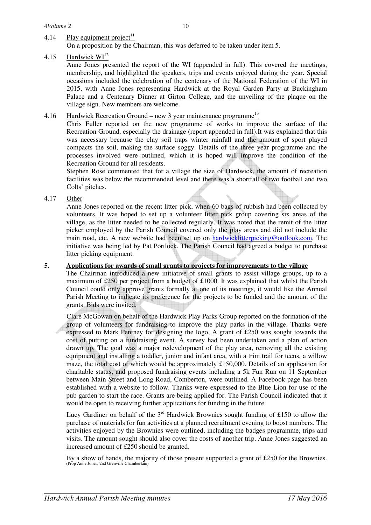## 4.14 Play equipment project<sup>11</sup>

On a proposition by the Chairman, this was deferred to be taken under item 5.

### 4.15 Hardwick  $WI<sup>12</sup>$

Anne Jones presented the report of the WI (appended in full). This covered the meetings, membership, and highlighted the speakers, trips and events enjoyed during the year. Special occasions included the celebration of the centenary of the National Federation of the WI in 2015, with Anne Jones representing Hardwick at the Royal Garden Party at Buckingham Palace and a Centenary Dinner at Girton College, and the unveiling of the plaque on the village sign. New members are welcome.

## 4.16 Hardwick Recreation Ground – new 3 year maintenance programme<sup>13</sup>

Chris Fuller reported on the new programme of works to improve the surface of the Recreation Ground, especially the drainage (report appended in full).It was explained that this was necessary because the clay soil traps winter rainfall and the amount of sport played compacts the soil, making the surface soggy. Details of the three year programme and the processes involved were outlined, which it is hoped will improve the condition of the Recreation Ground for all residents.

Stephen Rose commented that for a village the size of Hardwick, the amount of recreation facilities was below the recommended level and there was a shortfall of two football and two Colts' pitches.

#### 4.17 Other

Anne Jones reported on the recent litter pick, when 60 bags of rubbish had been collected by volunteers. It was hoped to set up a volunteer litter pick group covering six areas of the village, as the litter needed to be collected regularly. It was noted that the remit of the litter picker employed by the Parish Council covered only the play areas and did not include the main road, etc. A new website had been set up on hardwicklitterpicking@outlook.com. The initiative was being led by Pat Portlock. The Parish Council had agreed a budget to purchase litter picking equipment.

## **5. Applications for awards of small grants to projects for improvements to the village**

The Chairman introduced a new initiative of small grants to assist village groups, up to a maximum of £250 per project from a budget of £1000. It was explained that whilst the Parish Council could only approve grants formally at one of its meetings, it would like the Annual Parish Meeting to indicate its preference for the projects to be funded and the amount of the grants. Bids were invited.

Clare McGowan on behalf of the Hardwick Play Parks Group reported on the formation of the group of volunteers for fundraising to improve the play parks in the village. Thanks were expressed to Mark Pentney for designing the logo. A grant of £250 was sought towards the cost of putting on a fundraising event. A survey had been undertaken and a plan of action drawn up. The goal was a major redevelopment of the play area, removing all the existing equipment and installing a toddler, junior and infant area, with a trim trail for teens, a willow maze, the total cost of which would be approximately £150,000. Details of an application for charitable status, and proposed fundraising events including a 5k Fun Run on 11 September between Main Street and Long Road, Comberton, were outlined. A Facebook page has been established with a website to follow. Thanks were expressed to the Blue Lion for use of the pub garden to start the race. Grants are being applied for. The Parish Council indicated that it would be open to receiving further applications for funding in the future.

Lucy Gardiner on behalf of the  $3<sup>rd</sup>$  Hardwick Brownies sought funding of £150 to allow the purchase of materials for fun activities at a planned recruitment evening to boost numbers. The activities enjoyed by the Brownies were outlined, including the badges programme, trips and visits. The amount sought should also cover the costs of another trip. Anne Jones suggested an increased amount of £250 should be granted.

By a show of hands, the majority of those present supported a grant of £250 for the Brownies. (Prop Anne Jones, 2nd Grenville Chamberlain)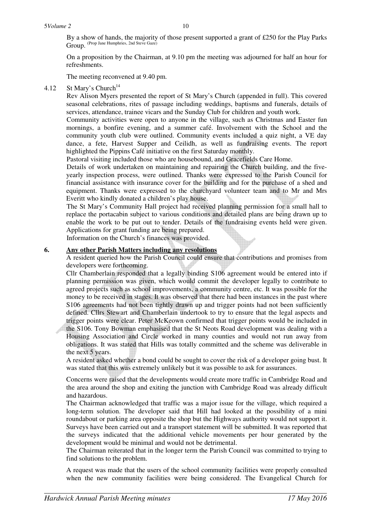By a show of hands, the majority of those present supported a grant of £250 for the Play Parks Group. (Prop Jane Humphries, 2nd Steve Gaze)

On a proposition by the Chairman, at 9.10 pm the meeting was adjourned for half an hour for refreshments.

The meeting reconvened at 9.40 pm.

#### 4.12 St Mary's Church<sup>14</sup>

Rev Alison Myers presented the report of St Mary's Church (appended in full). This covered seasonal celebrations, rites of passage including weddings, baptisms and funerals, details of services, attendance, trainee vicars and the Sunday Club for children and youth work.

Community activities were open to anyone in the village, such as Christmas and Easter fun mornings, a bonfire evening, and a summer café. Involvement with the School and the community youth club were outlined. Community events included a quiz night, a VE day dance, a fete, Harvest Supper and Ceilidh, as well as fundraising events. The report highlighted the Pippins Café initiative on the first Saturday monthly.

Pastoral visiting included those who are housebound, and Gracefields Care Home.

Details of work undertaken on maintaining and repairing the Church building, and the fiveyearly inspection process, were outlined. Thanks were expressed to the Parish Council for financial assistance with insurance cover for the building and for the purchase of a shed and equipment. Thanks were expressed to the churchyard volunteer team and to Mr and Mrs Everitt who kindly donated a children's play house.

The St Mary's Community Hall project had received planning permission for a small hall to replace the portacabin subject to various conditions and detailed plans are being drawn up to enable the work to be put out to tender. Details of the fundraising events held were given. Applications for grant funding are being prepared.

Information on the Church's finances was provided.

#### **6. Any other Parish Matters including any resolutions**

A resident queried how the Parish Council could ensure that contributions and promises from developers were forthcoming.

Cllr Chamberlain responded that a legally binding S106 agreement would be entered into if planning permission was given, which would commit the developer legally to contribute to agreed projects such as school improvements, a community centre, etc. It was possible for the money to be received in stages. It was observed that there had been instances in the past where S106 agreements had not been tightly drawn up and trigger points had not been sufficiently defined. Cllrs Stewart and Chamberlain undertook to try to ensure that the legal aspects and trigger points were clear. Peter McKeown confirmed that trigger points would be included in

the S106. Tony Bowman emphasised that the St Neots Road development was dealing with a Housing Association and Circle worked in many counties and would not run away from obligations. It was stated that Hills was totally committed and the scheme was deliverable in the next 5 years.

A resident asked whether a bond could be sought to cover the risk of a developer going bust. It was stated that this was extremely unlikely but it was possible to ask for assurances.

Concerns were raised that the developments would create more traffic in Cambridge Road and the area around the shop and exiting the junction with Cambridge Road was already difficult and hazardous.

The Chairman acknowledged that traffic was a major issue for the village, which required a long-term solution. The developer said that Hill had looked at the possibility of a mini roundabout or parking area opposite the shop but the Highways authority would not support it. Surveys have been carried out and a transport statement will be submitted. It was reported that the surveys indicated that the additional vehicle movements per hour generated by the development would be minimal and would not be detrimental.

The Chairman reiterated that in the longer term the Parish Council was committed to trying to find solutions to the problem.

A request was made that the users of the school community facilities were properly consulted when the new community facilities were being considered. The Evangelical Church for